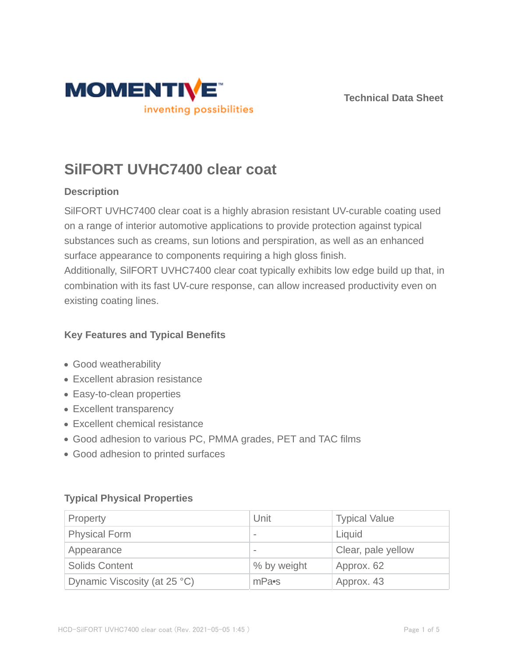



# **SilFORT UVHC7400 clear coat**

## **Description**

SilFORT UVHC7400 clear coat is a highly abrasion resistant UV-curable coating used on a range of interior automotive applications to provide protection against typical substances such as creams, sun lotions and perspiration, as well as an enhanced surface appearance to components requiring a high gloss finish.

Additionally, SilFORT UVHC7400 clear coat typically exhibits low edge build up that, in combination with its fast UV-cure response, can allow increased productivity even on existing coating lines.

## **Key Features and Typical Benefits**

- Good weatherability
- Excellent abrasion resistance
- Easy-to-clean properties
- Excellent transparency
- Excellent chemical resistance
- Good adhesion to various PC, PMMA grades, PET and TAC films
- Good adhesion to printed surfaces

## **Typical Physical Properties**

| Property                     | Unit                     | <b>Typical Value</b> |  |
|------------------------------|--------------------------|----------------------|--|
| <b>Physical Form</b>         | $\overline{\phantom{a}}$ | Liquid               |  |
| Appearance                   | $\overline{\phantom{a}}$ | Clear, pale yellow   |  |
| <b>Solids Content</b>        | % by weight              | Approx. 62           |  |
| Dynamic Viscosity (at 25 °C) | mPa•s                    | Approx. 43           |  |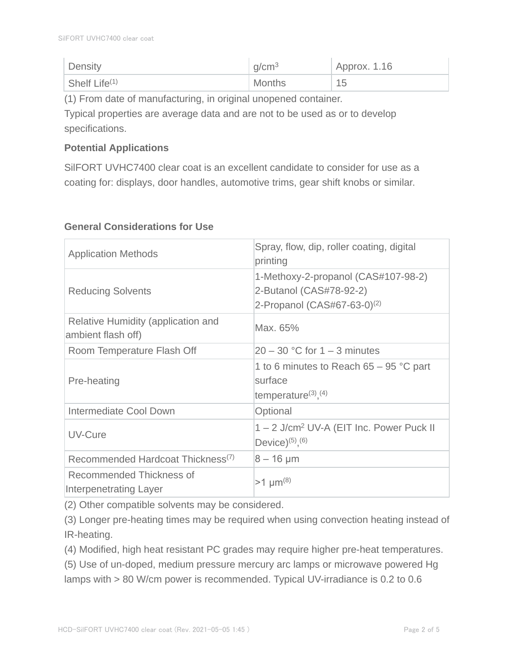| Density          | q/cm <sup>3</sup> | $\overline{A}$ Approx. 1.16 |
|------------------|-------------------|-----------------------------|
| Shelf Life $(1)$ | <b>Months</b>     | 15                          |

(1) From date of manufacturing, in original unopened container.

Typical properties are average data and are not to be used as or to develop specifications.

## **Potential Applications**

SilFORT UVHC7400 clear coat is an excellent candidate to consider for use as a coating for: displays, door handles, automotive trims, gear shift knobs or similar.

| <b>Application Methods</b>                               | Spray, flow, dip, roller coating, digital<br>printing                                              |
|----------------------------------------------------------|----------------------------------------------------------------------------------------------------|
| <b>Reducing Solvents</b>                                 | 1-Methoxy-2-propanol (CAS#107-98-2)<br>2-Butanol (CAS#78-92-2)<br>2-Propanol $(CAS#67-63-0)^{(2)}$ |
| Relative Humidity (application and<br>ambient flash off) | Max. 65%                                                                                           |
| Room Temperature Flash Off                               | $20 - 30$ °C for 1 – 3 minutes                                                                     |
| Pre-heating                                              | 1 to 6 minutes to Reach $65 - 95$ °C part<br>surface<br>temperature $(3)$ , $(4)$                  |
| Intermediate Cool Down                                   | Optional                                                                                           |
| UV-Cure                                                  | 1 - 2 J/cm <sup>2</sup> UV-A (EIT Inc. Power Puck II<br>Device) $(5)$ , $(6)$                      |
| Recommended Hardcoat Thickness <sup>(7)</sup>            | $8 - 16 \mu m$                                                                                     |
| Recommended Thickness of<br>Interpenetrating Layer       | $>1 \mu m^{(8)}$                                                                                   |

## **General Considerations for Use**

(2) Other compatible solvents may be considered.

(3) Longer pre-heating times may be required when using convection heating instead of IR-heating.

(4) Modified, high heat resistant PC grades may require higher pre-heat temperatures.

(5) Use of un-doped, medium pressure mercury arc lamps or microwave powered Hg lamps with > 80 W/cm power is recommended. Typical UV-irradiance is 0.2 to 0.6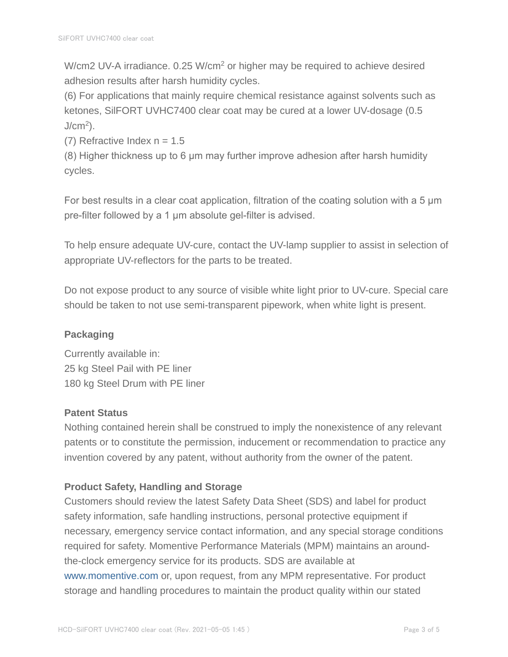W/cm2 UV-A irradiance. 0.25 W/cm<sup>2</sup> or higher may be required to achieve desired adhesion results after harsh humidity cycles.

(6) For applications that mainly require chemical resistance against solvents such as ketones, SilFORT UVHC7400 clear coat may be cured at a lower UV-dosage (0.5  $J/cm<sup>2</sup>$ ).

(7) Refractive Index  $n = 1.5$ 

(8) Higher thickness up to 6 μm may further improve adhesion after harsh humidity cycles.

For best results in a clear coat application, filtration of the coating solution with a 5 μm pre-filter followed by a 1 μm absolute gel-filter is advised.

To help ensure adequate UV-cure, contact the UV-lamp supplier to assist in selection of appropriate UV-reflectors for the parts to be treated.

Do not expose product to any source of visible white light prior to UV-cure. Special care should be taken to not use semi-transparent pipework, when white light is present.

# **Packaging**

Currently available in: 25 kg Steel Pail with PE liner 180 kg Steel Drum with PE liner

## **Patent Status**

Nothing contained herein shall be construed to imply the nonexistence of any relevant patents or to constitute the permission, inducement or recommendation to practice any invention covered by any patent, without authority from the owner of the patent.

# **Product Safety, Handling and Storage**

Customers should review the latest Safety Data Sheet (SDS) and label for product safety information, safe handling instructions, personal protective equipment if necessary, emergency service contact information, and any special storage conditions required for safety. Momentive Performance Materials (MPM) maintains an aroundthe-clock emergency service for its products. SDS are available at www.momentive.com or, upon request, from any MPM representative. For product storage and handling procedures to maintain the product quality within our stated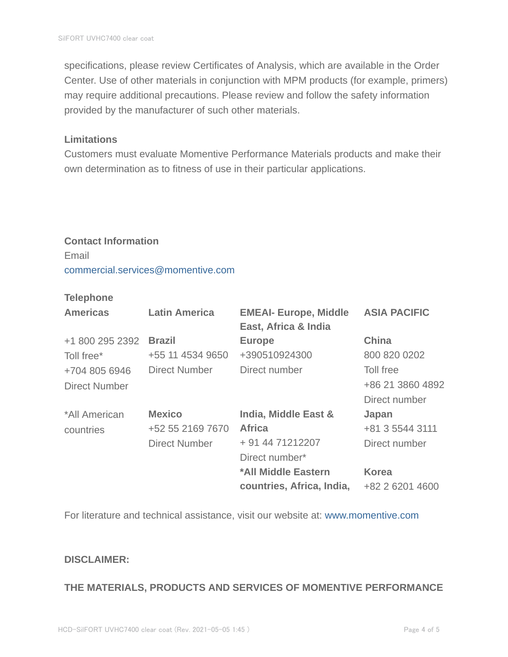specifications, please review Certificates of Analysis, which are available in the Order Center. Use of other materials in conjunction with MPM products (for example, primers) may require additional precautions. Please review and follow the safety information provided by the manufacturer of such other materials.

#### **Limitations**

Customers must evaluate Momentive Performance Materials products and make their own determination as to fitness of use in their particular applications.

#### **Contact Information**

Email commercial.services@momentive.com

### **Telephone**

| <b>Americas</b>      | <b>Latin America</b> | <b>EMEAI- Europe, Middle</b><br>East, Africa & India | <b>ASIA PACIFIC</b> |
|----------------------|----------------------|------------------------------------------------------|---------------------|
| +1 800 295 2392      | <b>Brazil</b>        | <b>Europe</b>                                        | <b>China</b>        |
| Toll free*           | +55 11 4534 9650     | +390510924300                                        | 800 820 0202        |
| +704 805 6946        | <b>Direct Number</b> | Direct number                                        | Toll free           |
| <b>Direct Number</b> |                      |                                                      | +86 21 3860 4892    |
|                      |                      |                                                      | Direct number       |
| *All American        | <b>Mexico</b>        | India, Middle East &                                 | Japan               |
| countries            | +52 55 2169 7670     | <b>Africa</b>                                        | +81 3 5544 3111     |
|                      | <b>Direct Number</b> | + 91 44 71212207                                     | Direct number       |
|                      |                      | Direct number*                                       |                     |
|                      |                      | *All Middle Eastern                                  | <b>Korea</b>        |
|                      |                      | countries, Africa, India,                            | +82 2 6201 4600     |

For literature and technical assistance, visit our website at: www.momentive.com

#### **DISCLAIMER:**

#### **THE MATERIALS, PRODUCTS AND SERVICES OF MOMENTIVE PERFORMANCE**